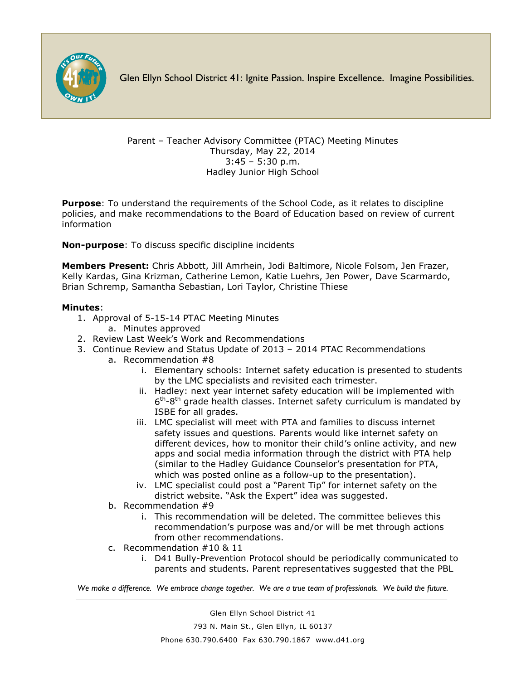

Glen Ellyn School District 41: Ignite Passion. Inspire Excellence. Imagine Possibilities.

Parent – Teacher Advisory Committee (PTAC) Meeting Minutes Thursday, May 22, 2014 3:45 – 5:30 p.m. Hadley Junior High School

**Purpose**: To understand the requirements of the School Code, as it relates to discipline policies, and make recommendations to the Board of Education based on review of current information

**Non-purpose**: To discuss specific discipline incidents

**Members Present:** Chris Abbott, Jill Amrhein, Jodi Baltimore, Nicole Folsom, Jen Frazer, Kelly Kardas, Gina Krizman, Catherine Lemon, Katie Luehrs, Jen Power, Dave Scarmardo, Brian Schremp, Samantha Sebastian, Lori Taylor, Christine Thiese

## **Minutes**:

- 1. Approval of 5-15-14 PTAC Meeting Minutes
	- a. Minutes approved
- 2. Review Last Week's Work and Recommendations
- 3. Continue Review and Status Update of 2013 2014 PTAC Recommendations
	- a. Recommendation #8
		- i. Elementary schools: Internet safety education is presented to students by the LMC specialists and revisited each trimester.
		- ii. Hadley: next year internet safety education will be implemented with  $6<sup>th</sup>$ -8<sup>th</sup> grade health classes. Internet safety curriculum is mandated by ISBE for all grades.
		- iii. LMC specialist will meet with PTA and families to discuss internet safety issues and questions. Parents would like internet safety on different devices, how to monitor their child's online activity, and new apps and social media information through the district with PTA help (similar to the Hadley Guidance Counselor's presentation for PTA, which was posted online as a follow-up to the presentation).
		- iv. LMC specialist could post a "Parent Tip" for internet safety on the district website. "Ask the Expert" idea was suggested.
	- b. Recommendation #9
		- i. This recommendation will be deleted. The committee believes this recommendation's purpose was and/or will be met through actions from other recommendations.
	- c. Recommendation #10 & 11
		- i. D41 Bully-Prevention Protocol should be periodically communicated to parents and students. Parent representatives suggested that the PBL

*We make a difference. We embrace change together. We are a true team of professionals. We build the future.*

Glen Ellyn School District 41 793 N. Main St., Glen Ellyn, IL 60137 Phone 630.790.6400 Fax 630.790.1867 www.d41.org